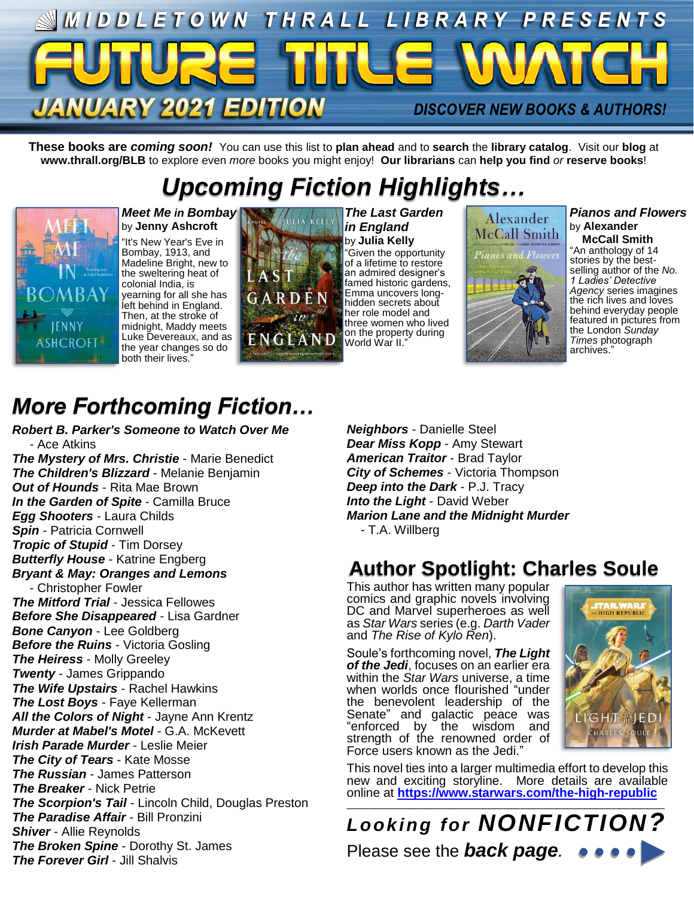

**These books are** *coming soon!* You can use this list to **plan ahead** and to **search** the **library catalog**. Visit our **blog** at **www.thrall.org/BLB** to explore even *more* books you might enjoy! **Our librarians** can **help you find** *or* **reserve books**!

# *Upcoming Fiction Highlights…*



*Meet Me in Bombay* by **Jenny Ashcroft** "It's New Year's Eve in Bombay, 1913, and Madeline Bright, new to the sweltering heat of colonial India, is yearning for all she has left behind in England. Then, at the stroke of midnight, Maddy meets Luke Devereaux, and as the year changes so do both their lives.



*The Last Garden in England* by **Julia Kelly** "Given the opportunity of a lifetime to restore an admired designer's famed historic gardens, Emma uncovers longhidden secrets about her role model and three women who lived on the property during World War II."



*Pianos and Flowers* by **Alexander McCall Smith**

"An anthology of 14 stories by the bestselling author of the *No. 1 Ladies' Detective Agency* series imagines the rich lives and loves behind everyday people featured in pictures from the London *Sunday Times* photograph archives."

# *More Forthcoming Fiction…*

*Robert B. Parker's Someone to Watch Over Me* - Ace Atkins

*The Mystery of Mrs. Christie* - Marie Benedict *The Children's Blizzard* - Melanie Benjamin *Out of Hounds* - Rita Mae Brown *In the Garden of Spite* - Camilla Bruce *Egg Shooters* - Laura Childs *Spin* - Patricia Cornwell *Tropic of Stupid* - Tim Dorsey *Butterfly House* - Katrine Engberg *Bryant & May: Oranges and Lemons* - Christopher Fowler *The Mitford Trial* - Jessica Fellowes *Before She Disappeared* - Lisa Gardner *Bone Canyon* - Lee Goldberg *Before the Ruins* - Victoria Gosling *The Heiress* - Molly Greeley *Twenty* - James Grippando *The Wife Upstairs* - Rachel Hawkins *The Lost Boys* - Faye Kellerman *All the Colors of Night* - Jayne Ann Krentz *Murder at Mabel's Motel* - G.A. McKevett *Irish Parade Murder* - Leslie Meier *The City of Tears* - Kate Mosse *The Russian* - James Patterson *The Breaker* - Nick Petrie *The Scorpion's Tail* - Lincoln Child, Douglas Preston *The Paradise Affair* - Bill Pronzini *Shiver* - Allie Reynolds *The Broken Spine* - Dorothy St. James *The Forever Girl* - Jill Shalvis

*Neighbors* - Danielle Steel *Dear Miss Kopp* - Amy Stewart *American Traitor* - Brad Taylor *City of Schemes* - Victoria Thompson *Deep into the Dark* - P.J. Tracy *Into the Light* - David Weber *Marion Lane and the Midnight Murder* - T.A. Willberg

## **Author Spotlight: Charles Soule**

This author has written many popular comics and graphic novels involving DC and Marvel superheroes as well as *Star Wars* series (e.g. *Darth Vader* and *The Rise of Kylo Ren*).

Soule's forthcoming novel, *The Light of the Jedi*, focuses on an earlier era within the *Star Wars* universe, a time when worlds once flourished "under the benevolent leadership of the Senate" and galactic peace was "enforced by the wisdom and strength of the renowned order of Force users known as the Jedi."



This novel ties into a larger multimedia effort to develop this new and exciting storyline. More details are available online at **<https://www.starwars.com/the-high-republic>**

\_\_\_\_\_\_\_\_\_\_\_\_\_\_\_\_\_\_\_\_\_\_\_\_\_\_\_\_\_\_\_\_\_\_\_\_\_\_\_\_\_\_\_\_\_\_\_\_\_\_\_\_\_\_\_\_ *Looking for NONFICTION?* Please see the *back page.*